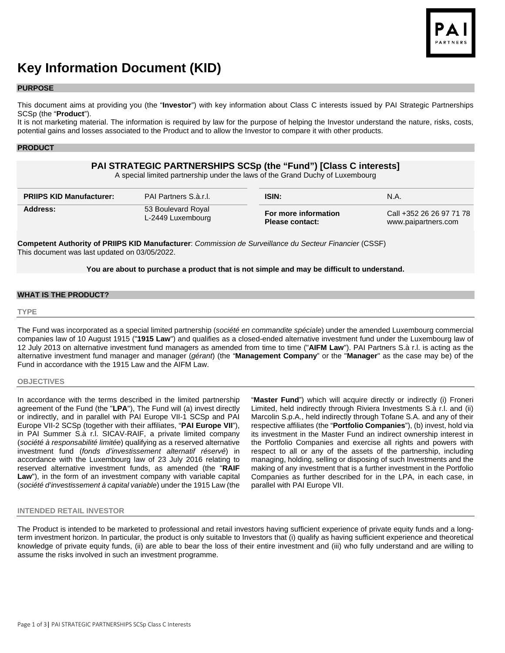

# **Key Information Document (KID)**

#### **PURPOSE**

This document aims at providing you (the "**Investor**") with key information about Class C interests issued by PAI Strategic Partnerships SCSp (the "**Product**").

It is not marketing material. The information is required by law for the purpose of helping the Investor understand the nature, risks, costs, potential gains and losses associated to the Product and to allow the Investor to compare it with other products.

#### **PRODUCT**

# **PAI STRATEGIC PARTNERSHIPS SCSp (the "Fund") [Class C interests]**

A special limited partnership under the laws of the Grand Duchy of Luxembourg

| <b>PRIIPS KID Manufacturer:</b> | <b>PAI Partners S.à.r.I.</b> | <b>ISIN:</b>           | N.A.                     |
|---------------------------------|------------------------------|------------------------|--------------------------|
| Address:                        | 53 Boulevard Royal           | For more information   | Call +352 26 26 97 71 78 |
|                                 | L-2449 Luxembourg            | <b>Please contact:</b> | www.paipartners.com      |

**Competent Authority of PRIIPS KID Manufacturer**: *Commission de Surveillance du Secteur Financier* (CSSF) This document was last updated on 03/05/2022.

#### **You are about to purchase a product that is not simple and may be difficult to understand.**

## **WHAT IS THE PRODUCT?**

#### **TYPE**

The Fund was incorporated as a special limited partnership (*société en commandite spéciale*) under the amended Luxembourg commercial companies law of 10 August 1915 ("**1915 Law**") and qualifies as a closed-ended alternative investment fund under the Luxembourg law of 12 July 2013 on alternative investment fund managers as amended from time to time ("**AIFM Law**"). PAI Partners S.à r.l. is acting as the alternative investment fund manager and manager (*gérant*) (the "**Management Company**" or the "**Manager**" as the case may be) of the Fund in accordance with the 1915 Law and the AIFM Law.

#### **OBJECTIVES**

In accordance with the terms described in the limited partnership agreement of the Fund (the "**LPA**"), The Fund will (a) invest directly or indirectly, and in parallel with PAI Europe VII-1 SCSp and PAI Europe VII-2 SCSp (together with their affiliates, "**PAI Europe VII**"), in PAI Summer S.à r.l. SICAV-RAIF, a private limited company (*société à responsabilité limitée*) qualifying as a reserved alternative investment fund (*fonds d'investissement alternatif réservé*) in accordance with the Luxembourg law of 23 July 2016 relating to reserved alternative investment funds, as amended (the "**RAIF**  Law"), in the form of an investment company with variable capital (*société d'investissement à capital variable*) under the 1915 Law (the

"**Master Fund**") which will acquire directly or indirectly (i) Froneri Limited, held indirectly through Riviera Investments S.à r.l. and (ii) Marcolin S.p.A., held indirectly through Tofane S.A. and any of their respective affiliates (the "**Portfolio Companies**"), (b) invest, hold via its investment in the Master Fund an indirect ownership interest in the Portfolio Companies and exercise all rights and powers with respect to all or any of the assets of the partnership, including managing, holding, selling or disposing of such Investments and the making of any investment that is a further investment in the Portfolio Companies as further described for in the LPA, in each case, in parallel with PAI Europe VII.

#### **INTENDED RETAIL INVESTOR**

The Product is intended to be marketed to professional and retail investors having sufficient experience of private equity funds and a longterm investment horizon. In particular, the product is only suitable to Investors that (i) qualify as having sufficient experience and theoretical knowledge of private equity funds, (ii) are able to bear the loss of their entire investment and (iii) who fully understand and are willing to assume the risks involved in such an investment programme.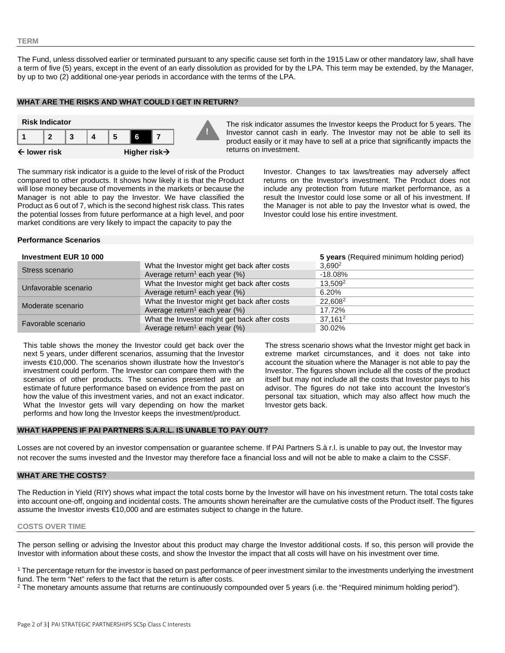#### **TERM**

The Fund, unless dissolved earlier or terminated pursuant to any specific cause set forth in the 1915 Law or other mandatory law, shall have a term of five (5) years, except in the event of an early dissolution as provided for by the LPA. This term may be extended, by the Manager, by up to two (2) additional one-year periods in accordance with the terms of the LPA.

## **WHAT ARE THE RISKS AND WHAT COULD I GET IN RETURN?**



Investor cannot cash in early. The Investor may not be able to sell its product easily or it may have to sell at a price that significantly impacts the returns on investment.

The summary risk indicator is a guide to the level of risk of the Product compared to other products. It shows how likely it is that the Product will lose money because of movements in the markets or because the Manager is not able to pay the Investor. We have classified the Product as 6 out of 7, which is the second highest risk class. This rates the potential losses from future performance at a high level, and poor market conditions are very likely to impact the capacity to pay the

Investor. Changes to tax laws/treaties may adversely affect returns on the Investor's investment. The Product does not include any protection from future market performance, as a result the Investor could lose some or all of his investment. If the Manager is not able to pay the Investor what is owed, the Investor could lose his entire investment.

#### **Performance Scenarios**

#### **Investment EUR 10 000 5 years** (Required minimum holding period)

| <u> 11 IV CONTIGHT LOIT TU OUU</u> |                                              | <b>U</b> years the ganca minimum notaing period) |
|------------------------------------|----------------------------------------------|--------------------------------------------------|
| Stress scenario                    | What the Investor might get back after costs | $3,690^2$                                        |
|                                    | Average return <sup>1</sup> each year $(\%)$ | $-18.08\%$                                       |
| Unfavorable scenario               | What the Investor might get back after costs | 13.509 <sup>2</sup>                              |
|                                    | Average return <sup>1</sup> each year $(\%)$ | 6.20%                                            |
| Moderate scenario                  | What the Investor might get back after costs | 22.608 <sup>2</sup>                              |
|                                    | Average return <sup>1</sup> each year $(\%)$ | 17.72%                                           |
| Favorable scenario                 | What the Investor might get back after costs | $37.161^2$                                       |
|                                    | Average return <sup>1</sup> each year $(\%)$ | 30.02%                                           |

This table shows the money the Investor could get back over the next 5 years, under different scenarios, assuming that the Investor invests €10,000. The scenarios shown illustrate how the Investor's investment could perform. The Investor can compare them with the scenarios of other products. The scenarios presented are an estimate of future performance based on evidence from the past on how the value of this investment varies, and not an exact indicator. What the Investor gets will vary depending on how the market performs and how long the Investor keeps the investment/product.

The stress scenario shows what the Investor might get back in extreme market circumstances, and it does not take into account the situation where the Manager is not able to pay the Investor. The figures shown include all the costs of the product itself but may not include all the costs that Investor pays to his advisor. The figures do not take into account the Investor's personal tax situation, which may also affect how much the Investor gets back.

## **WHAT HAPPENS IF PAI PARTNERS S.A.R.L. IS UNABLE TO PAY OUT?**

Losses are not covered by an investor compensation or guarantee scheme. If PAI Partners S.à r.l. is unable to pay out, the Investor may not recover the sums invested and the Investor may therefore face a financial loss and will not be able to make a claim to the CSSF.

## **WHAT ARE THE COSTS?**

The Reduction in Yield (RIY) shows what impact the total costs borne by the Investor will have on his investment return. The total costs take into account one-off, ongoing and incidental costs. The amounts shown hereinafter are the cumulative costs of the Product itself. The figures assume the Investor invests €10,000 and are estimates subject to change in the future.

#### **COSTS OVER TIME**

The person selling or advising the Investor about this product may charge the Investor additional costs. If so, this person will provide the Investor with information about these costs, and show the Investor the impact that all costs will have on his investment over time.

<sup>1</sup> The percentage return for the investor is based on past performance of peer investment similar to the investments underlying the investment fund. The term "Net" refers to the fact that the return is after costs.

<sup>2</sup> The monetary amounts assume that returns are continuously compounded over 5 years (i.e. the "Required minimum holding period").